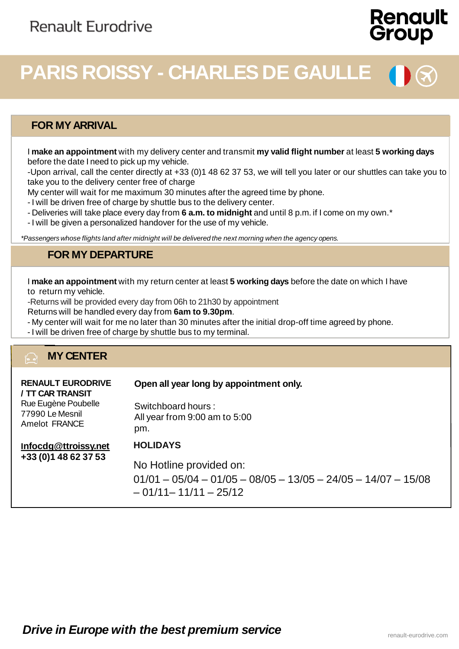# **Renault** Group

# **PARIS ROISSY - CHARLES DE GAULLE**

#### **FOR MYARRIVAL**

I **make an appointment** with my delivery center and transmit **my valid flight number** at least **5 working days** before the date I need to pick up my vehicle.

-Upon arrival, call the center directly at +33 (0)1 48 62 37 53, we will tell you later or our shuttles can take you to take you to the delivery center free of charge

My center will wait for me maximum 30 minutes after the agreed time by phone.

- I will be driven free of charge by shuttle bus to the delivery center.

- Deliveries will take place every day from **6 a.m. to midnight** and until 8 p.m. if I come on my own.\*
- I will be given a personalized handover for the use of my vehicle.

*\*Passengers whose flights land after midnight will be delivered the next morning when the agency opens.*

#### **FOR MY DEPARTURE**

I **make an appointment** with my return center at least **5 working days** before the date on which I have to return my vehicle.

-Returns will be provided every day from 06h to 21h30 by appointment

Returns will be handled every day from **6am to 9.30pm**.

- My center will wait for me no later than 30 minutes after the initial drop-off time agreed by phone.
- I will be driven free of charge by shuttle bus to my terminal.

#### **MY CENTER** ি∃

| <b>RENAULT EURODRIVE</b><br>/ TT CAR TRANSIT<br>Rue Eugène Poubelle<br>77990 Le Mesnil<br>Amelot FRANCE | Open all year long by appointment only.<br>Switchboard hours:<br>All year from 9:00 am to 5:00<br>pm.                                 |
|---------------------------------------------------------------------------------------------------------|---------------------------------------------------------------------------------------------------------------------------------------|
| Infocdg@ttroissy.net<br>+33 (0) 1 48 62 37 53                                                           | <b>HOLIDAYS</b><br>No Hotline provided on:<br>$01/01 - 05/04 - 01/05 - 08/05 - 13/05 - 24/05 - 14/07 - 15/08$<br>$-01/11-11/11-25/12$ |